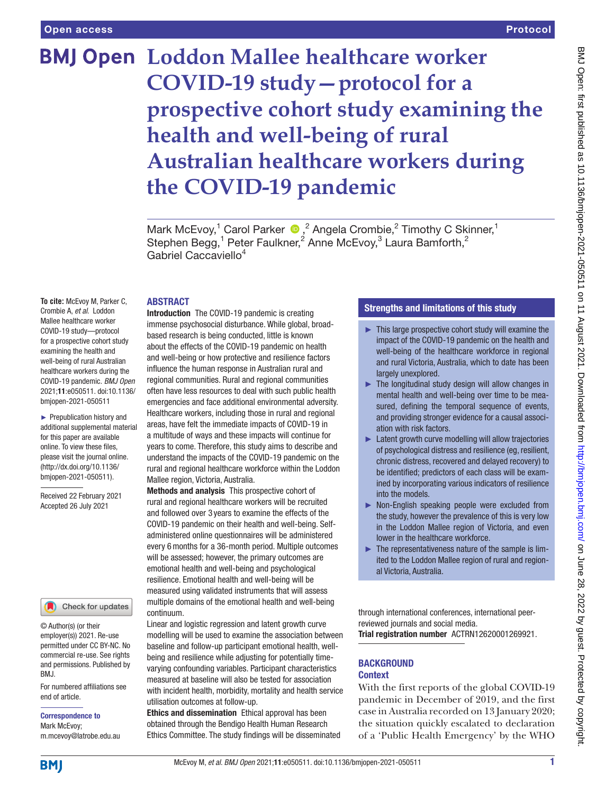# **BMJ Open Loddon Mallee healthcare worker COVID-19 study—protocol for a prospective cohort study examining the health and well-being of rural Australian healthcare workers during the COVID-19 pandemic**

Mark McEvoy,<sup>1</sup> Carol Parker  $\bullet$ ,<sup>2</sup> Angela Crombie,<sup>2</sup> Timothy C Skinner,<sup>1</sup> Stephen Begg,<sup>1</sup> Peter Faulkner,<sup>2</sup> Anne McEvoy,<sup>3</sup> Laura Bamforth,<sup>2</sup> Gabriel Caccaviello4

#### ABSTRACT

**To cite:** McEvoy M, Parker C, Crombie A, *et al*. Loddon Mallee healthcare worker COVID-19 study—protocol for a prospective cohort study examining the health and well-being of rural Australian healthcare workers during the COVID-19 pandemic. *BMJ Open* 2021;11:e050511. doi:10.1136/ bmjopen-2021-050511

► Prepublication history and additional supplemental material for this paper are available online. To view these files, please visit the journal online. (http://dx.doi.org/10.1136/ bmjopen-2021-050511).

Received 22 February 2021 Accepted 26 July 2021



© Author(s) (or their employer(s)) 2021. Re-use permitted under CC BY-NC. No commercial re-use. See rights and permissions. Published by BMJ.

For numbered affiliations see end of article.

Correspondence to Mark McEvoy; m.mcevoy@latrobe.edu.au

Introduction The COVID-19 pandemic is creating immense psychosocial disturbance. While global, broadbased research is being conducted, little is known about the effects of the COVID-19 pandemic on health and well-being or how protective and resilience factors influence the human response in Australian rural and regional communities. Rural and regional communities often have less resources to deal with such public health emergencies and face additional environmental adversity. Healthcare workers, including those in rural and regional areas, have felt the immediate impacts of COVID-19 in a multitude of ways and these impacts will continue for years to come. Therefore, this study aims to describe and understand the impacts of the COVID-19 pandemic on the rural and regional healthcare workforce within the Loddon Mallee region, Victoria, Australia.

Methods and analysis This prospective cohort of rural and regional healthcare workers will be recruited and followed over 3 years to examine the effects of the COVID-19 pandemic on their health and well-being. Selfadministered online questionnaires will be administered every 6months for a 36-month period. Multiple outcomes will be assessed; however, the primary outcomes are emotional health and well-being and psychological resilience. Emotional health and well-being will be measured using validated instruments that will assess multiple domains of the emotional health and well-being continuum.

Linear and logistic regression and latent growth curve modelling will be used to examine the association between baseline and follow-up participant emotional health, wellbeing and resilience while adjusting for potentially timevarying confounding variables. Participant characteristics measured at baseline will also be tested for association with incident health, morbidity, mortality and health service utilisation outcomes at follow-up.

Ethics and dissemination Ethical approval has been obtained through the Bendigo Health Human Research Ethics Committee. The study findings will be disseminated

# Strengths and limitations of this study

- $\blacktriangleright$  This large prospective cohort study will examine the impact of the COVID-19 pandemic on the health and well-being of the healthcare workforce in regional and rural Victoria, Australia, which to date has been largely unexplored.
- ► The longitudinal study design will allow changes in mental health and well-being over time to be measured, defining the temporal sequence of events, and providing stronger evidence for a causal association with risk factors.
- ► Latent growth curve modelling will allow trajectories of psychological distress and resilience (eg, resilient, chronic distress, recovered and delayed recovery) to be identified; predictors of each class will be examined by incorporating various indicators of resilience into the models.
- ► Non-English speaking people were excluded from the study, however the prevalence of this is very low in the Loddon Mallee region of Victoria, and even lower in the healthcare workforce.
- ► The representativeness nature of the sample is limited to the Loddon Mallee region of rural and regional Victoria, Australia.

through international conferences, international peerreviewed journals and social media.

Trial registration number ACTRN12620001269921.

#### **BACKGROUND Context**

With the first reports of the global COVID-19 pandemic in December of 2019, and the first case in Australia recorded on 13 January 2020; the situation quickly escalated to declaration of a 'Public Health Emergency' by the WHO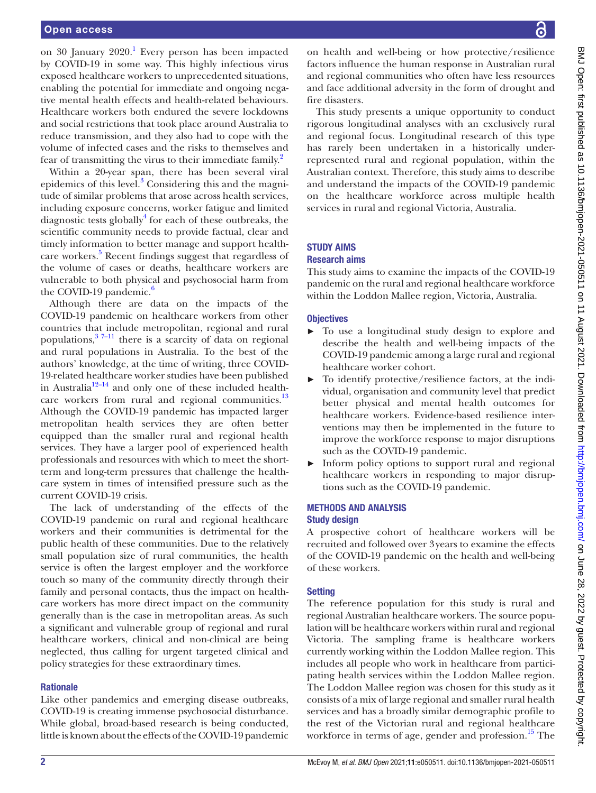on 30 January 2020.<sup>[1](#page-10-0)</sup> Every person has been impacted by COVID-19 in some way. This highly infectious virus exposed healthcare workers to unprecedented situations, enabling the potential for immediate and ongoing negative mental health effects and health-related behaviours. Healthcare workers both endured the severe lockdowns and social restrictions that took place around Australia to reduce transmission, and they also had to cope with the volume of infected cases and the risks to themselves and fear of transmitting the virus to their immediate family.<sup>[2](#page-10-1)</sup>

Within a 20-year span, there has been several viral epidemics of this level.<sup>[3](#page-10-2)</sup> Considering this and the magnitude of similar problems that arose across health services, including exposure concerns, worker fatigue and limited diagnostic tests globally<sup>4</sup> for each of these outbreaks, the scientific community needs to provide factual, clear and timely information to better manage and support health-care workers.<sup>[5](#page-10-4)</sup> Recent findings suggest that regardless of the volume of cases or deaths, healthcare workers are vulnerable to both physical and psychosocial harm from the COVID-19 pandemic. $\frac{6}{5}$ 

Although there are data on the impacts of the COVID-19 pandemic on healthcare workers from other countries that include metropolitan, regional and rural populations, $3^{7-11}$  there is a scarcity of data on regional and rural populations in Australia. To the best of the authors' knowledge, at the time of writing, three COVID-19-related healthcare worker studies have been published in Australia<sup>12–14</sup> and only one of these included healthcare workers from rural and regional communities. $^{13}$ Although the COVID-19 pandemic has impacted larger metropolitan health services they are often better equipped than the smaller rural and regional health services. They have a larger pool of experienced health professionals and resources with which to meet the shortterm and long-term pressures that challenge the healthcare system in times of intensified pressure such as the current COVID-19 crisis.

The lack of understanding of the effects of the COVID-19 pandemic on rural and regional healthcare workers and their communities is detrimental for the public health of these communities. Due to the relatively small population size of rural communities, the health service is often the largest employer and the workforce touch so many of the community directly through their family and personal contacts, thus the impact on healthcare workers has more direct impact on the community generally than is the case in metropolitan areas. As such a significant and vulnerable group of regional and rural healthcare workers, clinical and non-clinical are being neglected, thus calling for urgent targeted clinical and policy strategies for these extraordinary times.

#### **Rationale**

Like other pandemics and emerging disease outbreaks, COVID-19 is creating immense psychosocial disturbance. While global, broad-based research is being conducted, little is known about the effects of the COVID-19 pandemic

on health and well-being or how protective/resilience factors influence the human response in Australian rural and regional communities who often have less resources and face additional adversity in the form of drought and fire disasters.

This study presents a unique opportunity to conduct rigorous longitudinal analyses with an exclusively rural and regional focus. Longitudinal research of this type has rarely been undertaken in a historically underrepresented rural and regional population, within the Australian context. Therefore, this study aims to describe and understand the impacts of the COVID-19 pandemic on the healthcare workforce across multiple health services in rural and regional Victoria, Australia.

# STUDY AIMS

#### Research aims

This study aims to examine the impacts of the COVID-19 pandemic on the rural and regional healthcare workforce within the Loddon Mallee region, Victoria, Australia.

#### **Objectives**

- ► To use a longitudinal study design to explore and describe the health and well-being impacts of the COVID-19 pandemic among a large rural and regional healthcare worker cohort.
- ► To identify protective/resilience factors, at the individual, organisation and community level that predict better physical and mental health outcomes for healthcare workers. Evidence-based resilience interventions may then be implemented in the future to improve the workforce response to major disruptions such as the COVID-19 pandemic.
- ► Inform policy options to support rural and regional healthcare workers in responding to major disruptions such as the COVID-19 pandemic.

## METHODS AND ANALYSIS Study design

A prospective cohort of healthcare workers will be recruited and followed over 3years to examine the effects of the COVID-19 pandemic on the health and well-being of these workers.

#### **Setting**

The reference population for this study is rural and regional Australian healthcare workers. The source population will be healthcare workers within rural and regional Victoria. The sampling frame is healthcare workers currently working within the Loddon Mallee region. This includes all people who work in healthcare from participating health services within the Loddon Mallee region. The Loddon Mallee region was chosen for this study as it consists of a mix of large regional and smaller rural health services and has a broadly similar demographic profile to the rest of the Victorian rural and regional healthcare workforce in terms of age, gender and profession.<sup>15</sup> The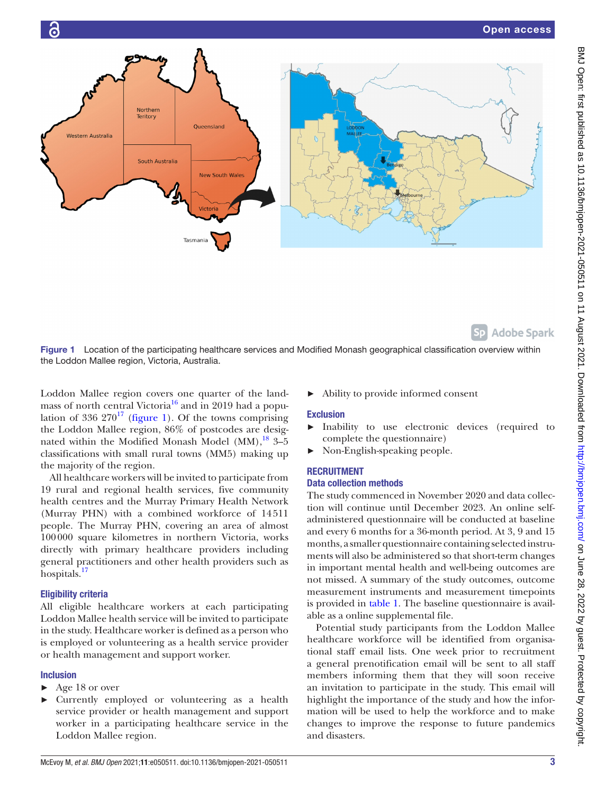

Sp Adobe Spark

<span id="page-2-0"></span>Figure 1 Location of the participating healthcare services and Modified Monash geographical classification overview within the Loddon Mallee region, Victoria, Australia.

Loddon Mallee region covers one quarter of the landmass of north central Victoria<sup>16</sup> and in 2019 had a population of 336  $270^{17}$  [\(figure](#page-2-0) 1). Of the towns comprising the Loddon Mallee region, 86% of postcodes are designated within the Modified Monash Model  $(MM)$ , <sup>[18](#page-10-11)</sup> 3–5 classifications with small rural towns (MM5) making up the majority of the region.

All healthcare workers will be invited to participate from 19 rural and regional health services, five community health centres and the Murray Primary Health Network (Murray PHN) with a combined workforce of 14511 people. The Murray PHN, covering an area of almost 100000 square kilometres in northern Victoria, works directly with primary healthcare providers including general practitioners and other health providers such as hospitals.<sup>[17](#page-10-10)</sup>

# Eligibility criteria

All eligible healthcare workers at each participating Loddon Mallee health service will be invited to participate in the study. Healthcare worker is defined as a person who is employed or volunteering as a health service provider or health management and support worker.

# Inclusion

- ► Age 18 or over
- ► Currently employed or volunteering as a health service provider or health management and support worker in a participating healthcare service in the Loddon Mallee region.

► Ability to provide informed consent

# Exclusion

- ► Inability to use electronic devices (required to complete the questionnaire)
- ► Non-English-speaking people.

# **RECRUITMENT**

# Data collection methods

The study commenced in November 2020 and data collection will continue until December 2023. An online selfadministered questionnaire will be conducted at baseline and every 6 months for a 36-month period. At 3, 9 and 15 months, a smaller questionnaire containing selected instruments will also be administered so that short-term changes in important mental health and well-being outcomes are not missed. A summary of the study outcomes, outcome measurement instruments and measurement timepoints is provided in [table](#page-3-0) 1. The baseline questionnaire is available as a [online supplemental file.](https://dx.doi.org/10.1136/bmjopen-2021-050511)

Potential study participants from the Loddon Mallee healthcare workforce will be identified from organisational staff email lists. One week prior to recruitment a general prenotification email will be sent to all staff members informing them that they will soon receive an invitation to participate in the study. This email will highlight the importance of the study and how the information will be used to help the workforce and to make changes to improve the response to future pandemics and disasters.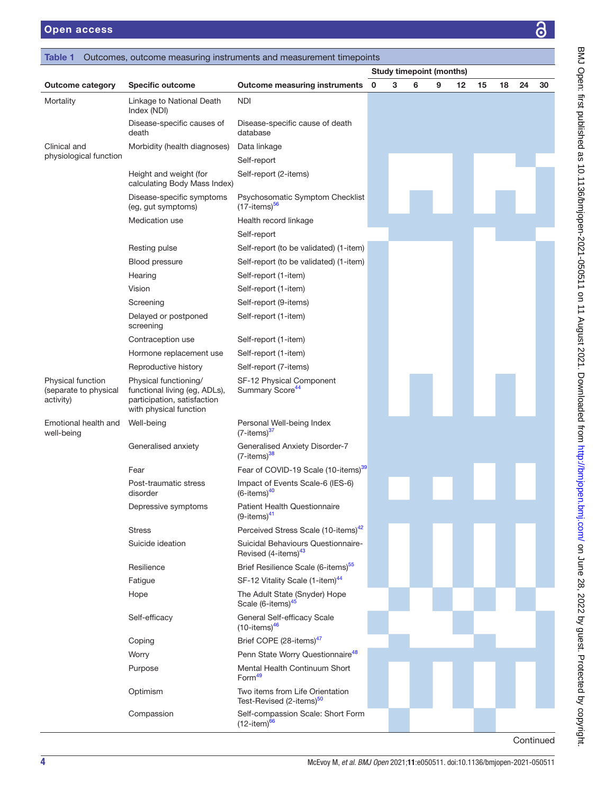<span id="page-3-0"></span>

|                                                         |                                                                                                                 |                                                          | <b>Study timepoint (months)</b> |   |   |   |    |    |    |    |    |  |
|---------------------------------------------------------|-----------------------------------------------------------------------------------------------------------------|----------------------------------------------------------|---------------------------------|---|---|---|----|----|----|----|----|--|
| <b>Outcome category</b>                                 | <b>Specific outcome</b>                                                                                         | <b>Outcome measuring instruments</b>                     | $\mathbf 0$                     | 3 | 6 | 9 | 12 | 15 | 18 | 24 | 30 |  |
| Mortality                                               | Linkage to National Death<br>Index (NDI)                                                                        | <b>NDI</b>                                               |                                 |   |   |   |    |    |    |    |    |  |
|                                                         | Disease-specific causes of<br>death                                                                             | Disease-specific cause of death<br>database              |                                 |   |   |   |    |    |    |    |    |  |
| Clinical and                                            | Morbidity (health diagnoses)                                                                                    | Data linkage                                             |                                 |   |   |   |    |    |    |    |    |  |
| physiological function                                  |                                                                                                                 | Self-report                                              |                                 |   |   |   |    |    |    |    |    |  |
|                                                         | Height and weight (for<br>calculating Body Mass Index)                                                          | Self-report (2-items)                                    |                                 |   |   |   |    |    |    |    |    |  |
|                                                         | Disease-specific symptoms<br>(eg, gut symptoms)                                                                 | Psychosomatic Symptom Checklist<br>$(17 - items)^{56}$   |                                 |   |   |   |    |    |    |    |    |  |
|                                                         | Medication use                                                                                                  | Health record linkage                                    |                                 |   |   |   |    |    |    |    |    |  |
|                                                         |                                                                                                                 | Self-report                                              |                                 |   |   |   |    |    |    |    |    |  |
|                                                         | Resting pulse                                                                                                   | Self-report (to be validated) (1-item)                   |                                 |   |   |   |    |    |    |    |    |  |
|                                                         | Blood pressure                                                                                                  | Self-report (to be validated) (1-item)                   |                                 |   |   |   |    |    |    |    |    |  |
|                                                         | Hearing                                                                                                         | Self-report (1-item)                                     |                                 |   |   |   |    |    |    |    |    |  |
|                                                         | Vision                                                                                                          | Self-report (1-item)                                     |                                 |   |   |   |    |    |    |    |    |  |
|                                                         | Screening                                                                                                       | Self-report (9-items)                                    |                                 |   |   |   |    |    |    |    |    |  |
|                                                         | Delayed or postponed<br>screening                                                                               | Self-report (1-item)                                     |                                 |   |   |   |    |    |    |    |    |  |
|                                                         | Contraception use                                                                                               | Self-report (1-item)                                     |                                 |   |   |   |    |    |    |    |    |  |
|                                                         | Hormone replacement use                                                                                         | Self-report (1-item)                                     |                                 |   |   |   |    |    |    |    |    |  |
|                                                         | Reproductive history                                                                                            | Self-report (7-items)                                    |                                 |   |   |   |    |    |    |    |    |  |
| Physical function<br>(separate to physical<br>activity) | Physical functioning/<br>functional living (eg, ADLs),<br>participation, satisfaction<br>with physical function | SF-12 Physical Component<br>Summary Score <sup>44</sup>  |                                 |   |   |   |    |    |    |    |    |  |
| Emotional health and<br>well-being                      | Well-being                                                                                                      | Personal Well-being Index<br>$(7 - items)^{37}$          |                                 |   |   |   |    |    |    |    |    |  |
|                                                         | Generalised anxiety                                                                                             | Generalised Anxiety Disorder-7<br>$(7$ -items) $38$      |                                 |   |   |   |    |    |    |    |    |  |
|                                                         | Fear                                                                                                            | Fear of COVID-19 Scale (10-items) <sup>39</sup>          |                                 |   |   |   |    |    |    |    |    |  |
|                                                         | Post-traumatic stress<br>disorder                                                                               | Impact of Events Scale-6 (IES-6)<br>$(6$ -items $)^{40}$ |                                 |   |   |   |    |    |    |    |    |  |
|                                                         | Depressive symptoms                                                                                             | <b>Patient Health Questionnaire</b><br>$(9$ -items) $41$ |                                 |   |   |   |    |    |    |    |    |  |
|                                                         | <b>Stress</b>                                                                                                   | Perceived Stress Scale (10-items) <sup>42</sup>          |                                 |   |   |   |    |    |    |    |    |  |

Suicide ideation Suicidal Behaviours Questionnaire-

Resilience Brief Resilience Scale (6-items)<sup>55</sup> Fatigue SF-12 Vitality Scale (1-item)<sup>44</sup> Hope The Adult State (Snyder) Hope

Self-efficacy General Self-efficacy Scale

Worry **Worry 2006** Penn State Worry Questionnaire<sup>[48](#page-11-7)</sup> Purpose Mental Health Continuum Short Form<sup>49</sup> Optimism Two items from Life Orientation

 Compassion Self-compassion Scale: Short Form  $(12 - item)^{66}$ 

Coping Brief COPE (28-items)<sup>47</sup>

Revised (4-items)<sup>43</sup>

Scale (6-items)<sup>[45](#page-11-4)</sup>

Test-Revised (2-items)<sup>50</sup>

 $(10$ -items) $46$ 

**Continued**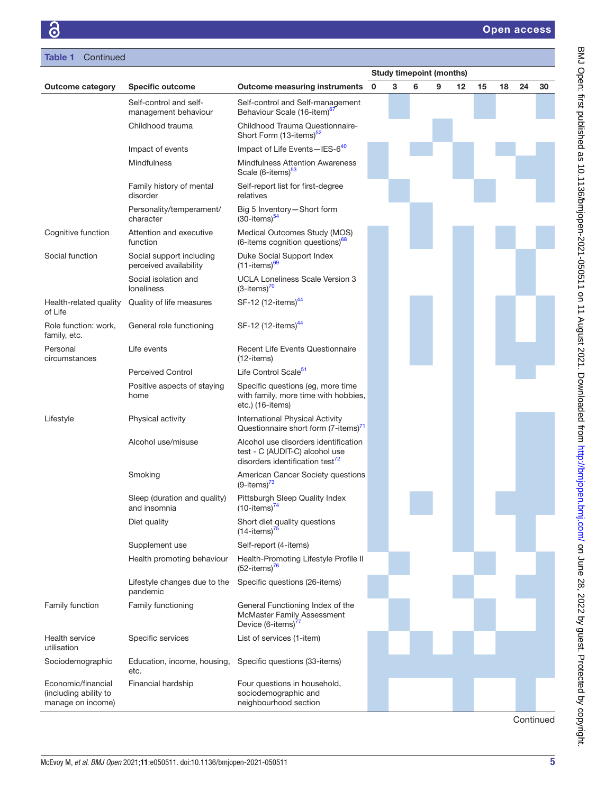|                                                                  |                                                    |                                                                                                                       | <b>Study timepoint (months)</b> |   |   |   |                   |    |    |           |    |
|------------------------------------------------------------------|----------------------------------------------------|-----------------------------------------------------------------------------------------------------------------------|---------------------------------|---|---|---|-------------------|----|----|-----------|----|
| <b>Outcome category</b>                                          | <b>Specific outcome</b>                            | <b>Outcome measuring instruments</b>                                                                                  | 0                               | 3 | 6 | 9 | $12 \overline{ }$ | 15 | 18 | 24        | 30 |
|                                                                  | Self-control and self-<br>management behaviour     | Self-control and Self-management<br>Behaviour Scale (16-item) <sup>67</sup>                                           |                                 |   |   |   |                   |    |    |           |    |
|                                                                  | Childhood trauma                                   | Childhood Trauma Questionnaire-<br>Short Form (13-items) <sup>52</sup>                                                |                                 |   |   |   |                   |    |    |           |    |
|                                                                  | Impact of events                                   | Impact of Life Events-IES-640                                                                                         |                                 |   |   |   |                   |    |    |           |    |
|                                                                  | <b>Mindfulness</b>                                 | <b>Mindfulness Attention Awareness</b><br>Scale (6-items) <sup>53</sup>                                               |                                 |   |   |   |                   |    |    |           |    |
|                                                                  | Family history of mental<br>disorder               | Self-report list for first-degree<br>relatives                                                                        |                                 |   |   |   |                   |    |    |           |    |
|                                                                  | Personality/temperament/<br>character              | Big 5 Inventory-Short form<br>$(30$ -items) $54$                                                                      |                                 |   |   |   |                   |    |    |           |    |
| Cognitive function                                               | Attention and executive<br>function                | Medical Outcomes Study (MOS)<br>(6-items cognition questions) <sup>68</sup>                                           |                                 |   |   |   |                   |    |    |           |    |
| Social function                                                  | Social support including<br>perceived availability | Duke Social Support Index<br>$(11 -$ items) <sup>69</sup>                                                             |                                 |   |   |   |                   |    |    |           |    |
|                                                                  | Social isolation and<br>loneliness                 | UCLA Loneliness Scale Version 3<br>$(3$ -items) $70$                                                                  |                                 |   |   |   |                   |    |    |           |    |
| Health-related quality<br>of Life                                | Quality of life measures                           | SF-12 (12-items) <sup>44</sup>                                                                                        |                                 |   |   |   |                   |    |    |           |    |
| Role function: work,<br>family, etc.                             | General role functioning                           | SF-12 (12-items) <sup>44</sup>                                                                                        |                                 |   |   |   |                   |    |    |           |    |
| Personal<br>circumstances                                        | Life events                                        | <b>Recent Life Events Questionnaire</b><br>$(12$ -items)                                                              |                                 |   |   |   |                   |    |    |           |    |
|                                                                  | <b>Perceived Control</b>                           | Life Control Scale <sup>51</sup>                                                                                      |                                 |   |   |   |                   |    |    |           |    |
|                                                                  | Positive aspects of staying<br>home                | Specific questions (eg, more time<br>with family, more time with hobbies,<br>etc.) (16-items)                         |                                 |   |   |   |                   |    |    |           |    |
| Lifestyle                                                        | Physical activity                                  | International Physical Activity<br>Questionnaire short form (7-items) <sup>71</sup>                                   |                                 |   |   |   |                   |    |    |           |    |
|                                                                  | Alcohol use/misuse                                 | Alcohol use disorders identification<br>test - C (AUDIT-C) alcohol use<br>disorders identification test <sup>72</sup> |                                 |   |   |   |                   |    |    |           |    |
|                                                                  | Smoking                                            | American Cancer Society questions<br>$(9$ -items) $^{73}$                                                             |                                 |   |   |   |                   |    |    |           |    |
|                                                                  | Sleep (duration and quality)<br>and insomnia       | Pittsburgh Sleep Quality Index<br>$(10$ -items) <sup>74</sup>                                                         |                                 |   |   |   |                   |    |    |           |    |
|                                                                  | Diet quality                                       | Short diet quality questions<br>$(14$ -items) <sup>75</sup>                                                           |                                 |   |   |   |                   |    |    |           |    |
|                                                                  | Supplement use                                     | Self-report (4-items)                                                                                                 |                                 |   |   |   |                   |    |    |           |    |
|                                                                  | Health promoting behaviour                         | Health-Promoting Lifestyle Profile II<br>$(52$ -items) <sup>76</sup>                                                  |                                 |   |   |   |                   |    |    |           |    |
|                                                                  | Lifestyle changes due to the<br>pandemic           | Specific questions (26-items)                                                                                         |                                 |   |   |   |                   |    |    |           |    |
| Family function                                                  | Family functioning                                 | General Functioning Index of the<br>McMaster Family Assessment<br>Device (6-items) <sup>77</sup>                      |                                 |   |   |   |                   |    |    |           |    |
| Health service<br>utilisation                                    | Specific services                                  | List of services (1-item)                                                                                             |                                 |   |   |   |                   |    |    |           |    |
| Sociodemographic                                                 | Education, income, housing,<br>etc.                | Specific questions (33-items)                                                                                         |                                 |   |   |   |                   |    |    |           |    |
| Economic/financial<br>(including ability to<br>manage on income) | Financial hardship                                 | Four questions in household,<br>sociodemographic and<br>neighbourhood section                                         |                                 |   |   |   |                   |    |    |           |    |
|                                                                  |                                                    |                                                                                                                       |                                 |   |   |   |                   |    |    | Continued |    |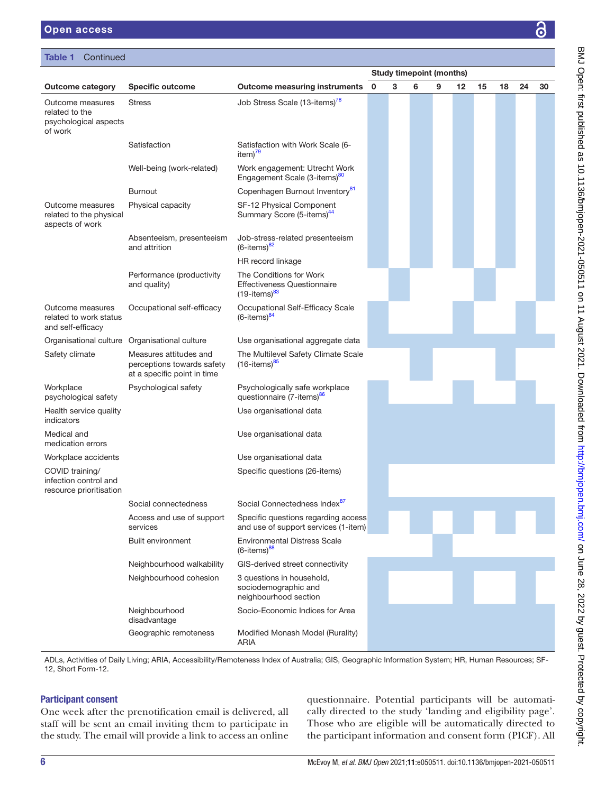#### Table 1 Continued

|                                                                        |                                                                                     |                                                                                        | <b>Study timepoint (months)</b> |   |   |   |    |    |    |    |    |
|------------------------------------------------------------------------|-------------------------------------------------------------------------------------|----------------------------------------------------------------------------------------|---------------------------------|---|---|---|----|----|----|----|----|
| <b>Outcome category</b>                                                | <b>Specific outcome</b>                                                             | <b>Outcome measuring instruments</b>                                                   | $\mathbf 0$                     | 3 | 6 | 9 | 12 | 15 | 18 | 24 | 30 |
| Outcome measures<br>related to the<br>psychological aspects<br>of work | <b>Stress</b>                                                                       | Job Stress Scale (13-items) <sup>78</sup>                                              |                                 |   |   |   |    |    |    |    |    |
|                                                                        | Satisfaction                                                                        | Satisfaction with Work Scale (6-<br>item) $^{79}$                                      |                                 |   |   |   |    |    |    |    |    |
|                                                                        | Well-being (work-related)                                                           | Work engagement: Utrecht Work<br>Engagement Scale (3-items) <sup>80</sup>              |                                 |   |   |   |    |    |    |    |    |
|                                                                        | <b>Burnout</b>                                                                      | Copenhagen Burnout Inventory <sup>81</sup>                                             |                                 |   |   |   |    |    |    |    |    |
| Outcome measures<br>related to the physical<br>aspects of work         | Physical capacity                                                                   | SF-12 Physical Component<br>Summary Score (5-items) <sup>44</sup>                      |                                 |   |   |   |    |    |    |    |    |
|                                                                        | Absenteeism, presenteeism<br>and attrition                                          | Job-stress-related presenteeism<br>$(6$ -items) $^{82}$                                |                                 |   |   |   |    |    |    |    |    |
|                                                                        |                                                                                     | HR record linkage                                                                      |                                 |   |   |   |    |    |    |    |    |
|                                                                        | Performance (productivity<br>and quality)                                           | The Conditions for Work<br><b>Effectiveness Questionnaire</b><br>$(19$ -items) $^{83}$ |                                 |   |   |   |    |    |    |    |    |
| Outcome measures<br>related to work status<br>and self-efficacy        | Occupational self-efficacy                                                          | Occupational Self-Efficacy Scale<br>$(6$ -items) $84$                                  |                                 |   |   |   |    |    |    |    |    |
| Organisational culture Organisational culture                          |                                                                                     | Use organisational aggregate data                                                      |                                 |   |   |   |    |    |    |    |    |
| Safety climate                                                         | Measures attitudes and<br>perceptions towards safety<br>at a specific point in time | The Multilevel Safety Climate Scale<br>$(16$ -items) $85$                              |                                 |   |   |   |    |    |    |    |    |
| Workplace<br>psychological safety                                      | Psychological safety                                                                | Psychologically safe workplace<br>questionnaire (7-items) <sup>86</sup>                |                                 |   |   |   |    |    |    |    |    |
| Health service quality<br>indicators                                   |                                                                                     | Use organisational data                                                                |                                 |   |   |   |    |    |    |    |    |
| Medical and<br>medication errors                                       |                                                                                     | Use organisational data                                                                |                                 |   |   |   |    |    |    |    |    |
| Workplace accidents                                                    |                                                                                     | Use organisational data                                                                |                                 |   |   |   |    |    |    |    |    |
| COVID training/<br>infection control and<br>resource prioritisation    |                                                                                     | Specific questions (26-items)                                                          |                                 |   |   |   |    |    |    |    |    |
|                                                                        | Social connectedness                                                                | Social Connectedness Index <sup>87</sup>                                               |                                 |   |   |   |    |    |    |    |    |
|                                                                        | Access and use of support<br>services                                               | Specific questions regarding access<br>and use of support services (1-item)            |                                 |   |   |   |    |    |    |    |    |
|                                                                        | Built environment                                                                   | <b>Environmental Distress Scale</b><br>$(6$ -items) $88$                               |                                 |   |   |   |    |    |    |    |    |
|                                                                        | Neighbourhood walkability                                                           | GIS-derived street connectivity                                                        |                                 |   |   |   |    |    |    |    |    |
|                                                                        | Neighbourhood cohesion                                                              | 3 questions in household,<br>sociodemographic and<br>neighbourhood section             |                                 |   |   |   |    |    |    |    |    |
|                                                                        | Neighbourhood<br>disadvantage                                                       | Socio-Economic Indices for Area                                                        |                                 |   |   |   |    |    |    |    |    |
|                                                                        | Geographic remoteness                                                               | Modified Monash Model (Rurality)<br>ARIA                                               |                                 |   |   |   |    |    |    |    |    |

ADLs, Activities of Daily Living; ARIA, Accessibility/Remoteness Index of Australia; GIS, Geographic Information System; HR, Human Resources; SF-12, Short Form-12.

#### Participant consent

One week after the prenotification email is delivered, all staff will be sent an email inviting them to participate in the study. The email will provide a link to access an online

questionnaire. Potential participants will be automatically directed to the study 'landing and eligibility page'. Those who are eligible will be automatically directed to the participant information and consent form (PICF). All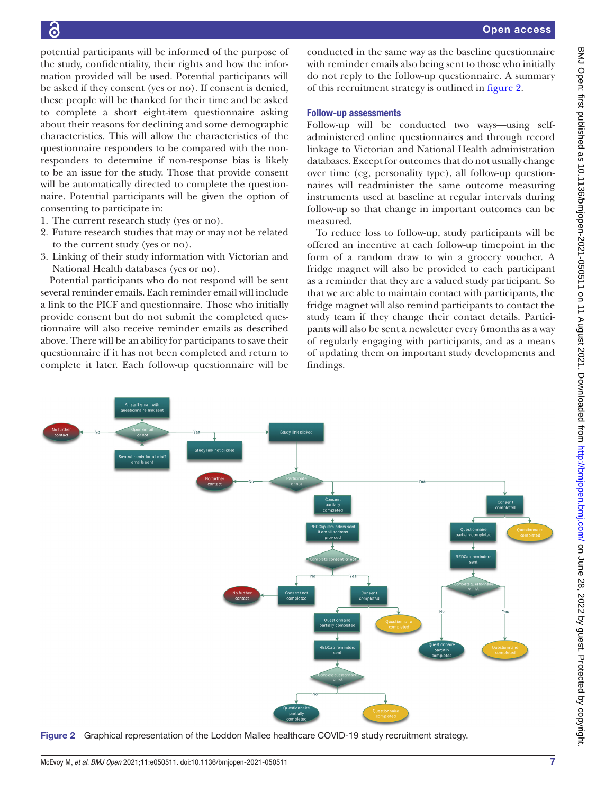BMJ Open: first published as 10.1136/bmjopen-2021-050511 on 11 August 2021. Downloaded from http://bmjopen.bmj.com/ on June 28, 2022 by guest. Protected by copyright. BMJ Open: first published as 10.1136/bmjopen-2021-050511 on 11 August 2021. Downloaded from <http://bmjopen.bmj.com/> on June 28, 2022 by guest. Protected by copyright.

potential participants will be informed of the purpose of the study, confidentiality, their rights and how the information provided will be used. Potential participants will be asked if they consent (yes or no). If consent is denied, these people will be thanked for their time and be asked to complete a short eight-item questionnaire asking about their reasons for declining and some demographic characteristics. This will allow the characteristics of the questionnaire responders to be compared with the nonresponders to determine if non-response bias is likely to be an issue for the study. Those that provide consent will be automatically directed to complete the questionnaire. Potential participants will be given the option of consenting to participate in:

- 1. The current research study (yes or no).
- 2. Future research studies that may or may not be related to the current study (yes or no).
- 3. Linking of their study information with Victorian and National Health databases (yes or no).

Potential participants who do not respond will be sent several reminder emails. Each reminder email will include a link to the PICF and questionnaire. Those who initially provide consent but do not submit the completed questionnaire will also receive reminder emails as described above. There will be an ability for participants to save their questionnaire if it has not been completed and return to complete it later. Each follow-up questionnaire will be

conducted in the same way as the baseline questionnaire with reminder emails also being sent to those who initially do not reply to the follow-up questionnaire. A summary of this recruitment strategy is outlined in [figure](#page-6-0) 2.

#### Follow-up assessments

Follow-up will be conducted two ways—using selfadministered online questionnaires and through record linkage to Victorian and National Health administration databases. Except for outcomes that do not usually change over time (eg, personality type), all follow-up questionnaires will readminister the same outcome measuring instruments used at baseline at regular intervals during follow-up so that change in important outcomes can be measured.

To reduce loss to follow-up, study participants will be offered an incentive at each follow-up timepoint in the form of a random draw to win a grocery voucher. A fridge magnet will also be provided to each participant as a reminder that they are a valued study participant. So that we are able to maintain contact with participants, the fridge magnet will also remind participants to contact the study team if they change their contact details. Participants will also be sent a newsletter every 6months as a way of regularly engaging with participants, and as a means of updating them on important study developments and findings.



<span id="page-6-0"></span>Figure 2 Graphical representation of the Loddon Mallee healthcare COVID-19 study recruitment strategy.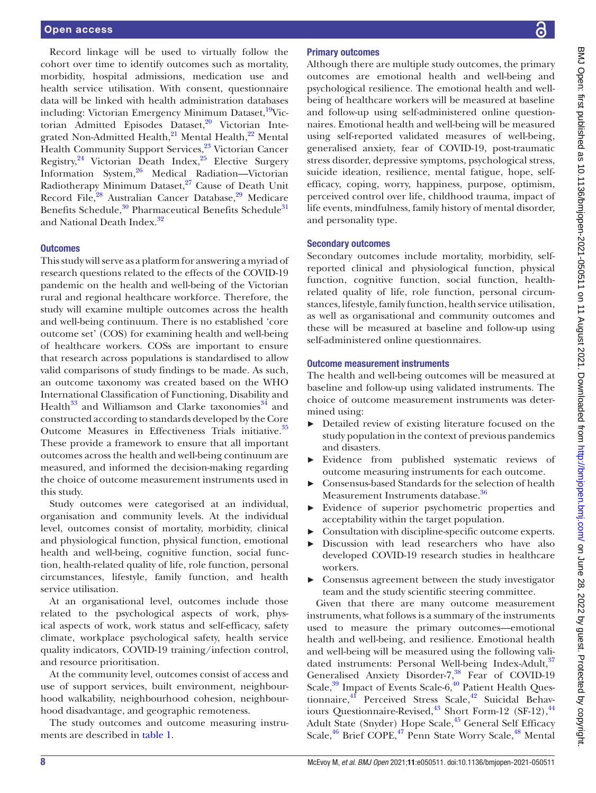Record linkage will be used to virtually follow the cohort over time to identify outcomes such as mortality, morbidity, hospital admissions, medication use and health service utilisation. With consent, questionnaire data will be linked with health administration databases including: Victorian Emergency Minimum Dataset, <sup>19</sup>Victorian Admitted Episodes Dataset,<sup>20</sup> Victorian Integrated Non-Admitted Health, $21$  Mental Health, $22$  Mental Health Community Support Services,<sup>23</sup> Victorian Cancer Registry,  $24$  Victorian Death Index,  $25$  Elective Surgery Information System,[26](#page-10-25) Medical Radiation—Victorian Radiotherapy Minimum Dataset, $27$  Cause of Death Unit Record File,<sup>28</sup> Australian Cancer Database,<sup>[29](#page-10-28)</sup> Medicare Benefits Schedule,<sup>30</sup> Pharmaceutical Benefits Schedule<sup>31</sup> and National Death Index.<sup>[32](#page-10-31)</sup>

#### **Outcomes**

This study will serve as a platform for answering a myriad of research questions related to the effects of the COVID-19 pandemic on the health and well-being of the Victorian rural and regional healthcare workforce. Therefore, the study will examine multiple outcomes across the health and well-being continuum. There is no established 'core outcome set' (COS) for examining health and well-being of healthcare workers. COSs are important to ensure that research across populations is standardised to allow valid comparisons of study findings to be made. As such, an outcome taxonomy was created based on the WHO International Classification of Functioning, Disability and Health<sup>33</sup> and Williamson and Clarke taxonomies<sup>34</sup> and constructed according to standards developed by the Core Outcome Measures in Effectiveness Trials initiative.<sup>35</sup> These provide a framework to ensure that all important outcomes across the health and well-being continuum are measured, and informed the decision-making regarding the choice of outcome measurement instruments used in this study.

Study outcomes were categorised at an individual, organisation and community levels. At the individual level, outcomes consist of mortality, morbidity, clinical and physiological function, physical function, emotional health and well-being, cognitive function, social function, health-related quality of life, role function, personal circumstances, lifestyle, family function, and health service utilisation.

At an organisational level, outcomes include those related to the psychological aspects of work, physical aspects of work, work status and self-efficacy, safety climate, workplace psychological safety, health service quality indicators, COVID-19 training/infection control, and resource prioritisation.

At the community level, outcomes consist of access and use of support services, built environment, neighbourhood walkability, neighbourhood cohesion, neighbourhood disadvantage, and geographic remoteness.

The study outcomes and outcome measuring instruments are described in [table](#page-3-0) 1.

Although there are multiple study outcomes, the primary outcomes are emotional health and well-being and psychological resilience. The emotional health and wellbeing of healthcare workers will be measured at baseline and follow-up using self-administered online questionnaires. Emotional health and well-being will be measured using self-reported validated measures of well-being, generalised anxiety, fear of COVID-19, post-traumatic stress disorder, depressive symptoms, psychological stress, suicide ideation, resilience, mental fatigue, hope, selfefficacy, coping, worry, happiness, purpose, optimism, perceived control over life, childhood trauma, impact of life events, mindfulness, family history of mental disorder, and personality type. Secondary outcomes Secondary outcomes include mortality, morbidity, selfreported clinical and physiological function, physical function, cognitive function, social function, healthrelated quality of life, role function, personal circumstances, lifestyle, family function, health service utilisation, as well as organisational and community outcomes and these will be measured at baseline and follow-up using self-administered online questionnaires.

#### Outcome measurement instruments

Primary outcomes

The health and well-being outcomes will be measured at baseline and follow-up using validated instruments. The choice of outcome measurement instruments was determined using:

- ► Detailed review of existing literature focused on the study population in the context of previous pandemics and disasters.
- Evidence from published systematic reviews of outcome measuring instruments for each outcome.
- ► Consensus-based Standards for the selection of health Measurement Instruments database.<sup>36</sup>
- ► Evidence of superior psychometric properties and acceptability within the target population.
- Consultation with discipline-specific outcome experts.
- Discussion with lead researchers who have also developed COVID-19 research studies in healthcare workers.
- ► Consensus agreement between the study investigator team and the study scientific steering committee.

Given that there are many outcome measurement instruments, what follows is a summary of the instruments used to measure the primary outcomes—emotional health and well-being, and resilience. Emotional health and well-being will be measured using the following vali-dated instruments: Personal Well-being Index-Adult, <sup>[37](#page-10-12)</sup> Generalised Anxiety Disorder-7,<sup>38</sup> Fear of COVID-19 Scale,  $39$  Impact of Events Scale-6,  $40$  Patient Health Questionnaire,<sup>41</sup> Perceived Stress Scale,<sup>42</sup> Suicidal Behaviours Questionnaire-Revised, $43$  Short Form-12 (SF-12), $44$ Adult State (Snyder) Hope Scale,<sup>45</sup> General Self Efficacy Scale,<sup>46</sup> Brief COPE,<sup>47</sup> Penn State Worry Scale,<sup>48</sup> Mental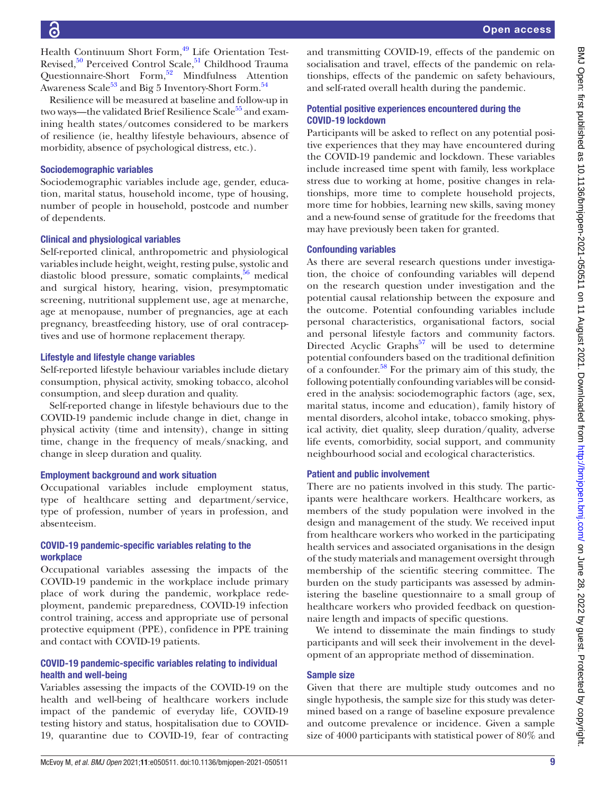BMJ Open: first published as 10.1136/bmijopen-2021-050511 on 11 August 2021. Downloaded from http://bmjopen.bmj.com/ on June 28, 2022 by guest. Protected by copyright BMJ Open: first published as 10.1136/bmjopen-2021-050511 on 11 August 2021. Downloaded from <http://bmjopen.bmj.com/> on June 28, 2022 by guest. Protected by copyright.

Health Continuum Short Form,<sup>49</sup> Life Orientation Test-Revised, $50$  Perceived Control Scale, $51$  Childhood Trauma Questionnaire-Short Form, $52$  Mindfulness Attention Awareness Scale<sup>[53](#page-11-13)</sup> and Big 5 Inventory-Short Form.<sup>54</sup>

Resilience will be measured at baseline and follow-up in two ways—the validated Brief Resilience Scale<sup>55</sup> and examining health states/outcomes considered to be markers of resilience (ie, healthy lifestyle behaviours, absence of morbidity, absence of psychological distress, etc.).

#### Sociodemographic variables

Sociodemographic variables include age, gender, education, marital status, household income, type of housing, number of people in household, postcode and number of dependents.

#### Clinical and physiological variables

Self-reported clinical, anthropometric and physiological variables include height, weight, resting pulse, systolic and diastolic blood pressure, somatic complaints, $56$  medical and surgical history, hearing, vision, presymptomatic screening, nutritional supplement use, age at menarche, age at menopause, number of pregnancies, age at each pregnancy, breastfeeding history, use of oral contraceptives and use of hormone replacement therapy.

#### Lifestyle and lifestyle change variables

Self-reported lifestyle behaviour variables include dietary consumption, physical activity, smoking tobacco, alcohol consumption, and sleep duration and quality.

Self-reported change in lifestyle behaviours due to the COVID-19 pandemic include change in diet, change in physical activity (time and intensity), change in sitting time, change in the frequency of meals/snacking, and change in sleep duration and quality.

#### Employment background and work situation

Occupational variables include employment status, type of healthcare setting and department/service, type of profession, number of years in profession, and absenteeism.

#### COVID-19 pandemic-specific variables relating to the workplace

Occupational variables assessing the impacts of the COVID-19 pandemic in the workplace include primary place of work during the pandemic, workplace redeployment, pandemic preparedness, COVID-19 infection control training, access and appropriate use of personal protective equipment (PPE), confidence in PPE training and contact with COVID-19 patients.

#### COVID-19 pandemic-specific variables relating to individual health and well-being

Variables assessing the impacts of the COVID-19 on the health and well-being of healthcare workers include impact of the pandemic of everyday life, COVID-19 testing history and status, hospitalisation due to COVID-19, quarantine due to COVID-19, fear of contracting

and transmitting COVID-19, effects of the pandemic on socialisation and travel, effects of the pandemic on relationships, effects of the pandemic on safety behaviours, and self-rated overall health during the pandemic.

#### Potential positive experiences encountered during the COVID-19 lockdown

Participants will be asked to reflect on any potential positive experiences that they may have encountered during the COVID-19 pandemic and lockdown. These variables include increased time spent with family, less workplace stress due to working at home, positive changes in relationships, more time to complete household projects, more time for hobbies, learning new skills, saving money and a new-found sense of gratitude for the freedoms that may have previously been taken for granted.

#### Confounding variables

As there are several research questions under investigation, the choice of confounding variables will depend on the research question under investigation and the potential causal relationship between the exposure and the outcome. Potential confounding variables include personal characteristics, organisational factors, social and personal lifestyle factors and community factors. Directed Acyclic Graphs<sup>[57](#page-11-37)</sup> will be used to determine potential confounders based on the traditional definition of a confounder. $58$  For the primary aim of this study, the following potentially confounding variables will be considered in the analysis: sociodemographic factors (age, sex, marital status, income and education), family history of mental disorders, alcohol intake, tobacco smoking, physical activity, diet quality, sleep duration/quality, adverse life events, comorbidity, social support, and community neighbourhood social and ecological characteristics.

#### Patient and public involvement

There are no patients involved in this study. The participants were healthcare workers. Healthcare workers, as members of the study population were involved in the design and management of the study. We received input from healthcare workers who worked in the participating health services and associated organisations in the design of the study materials and management oversight through membership of the scientific steering committee. The burden on the study participants was assessed by administering the baseline questionnaire to a small group of healthcare workers who provided feedback on questionnaire length and impacts of specific questions.

We intend to disseminate the main findings to study participants and will seek their involvement in the development of an appropriate method of dissemination.

#### Sample size

Given that there are multiple study outcomes and no single hypothesis, the sample size for this study was determined based on a range of baseline exposure prevalence and outcome prevalence or incidence. Given a sample size of 4000 participants with statistical power of 80% and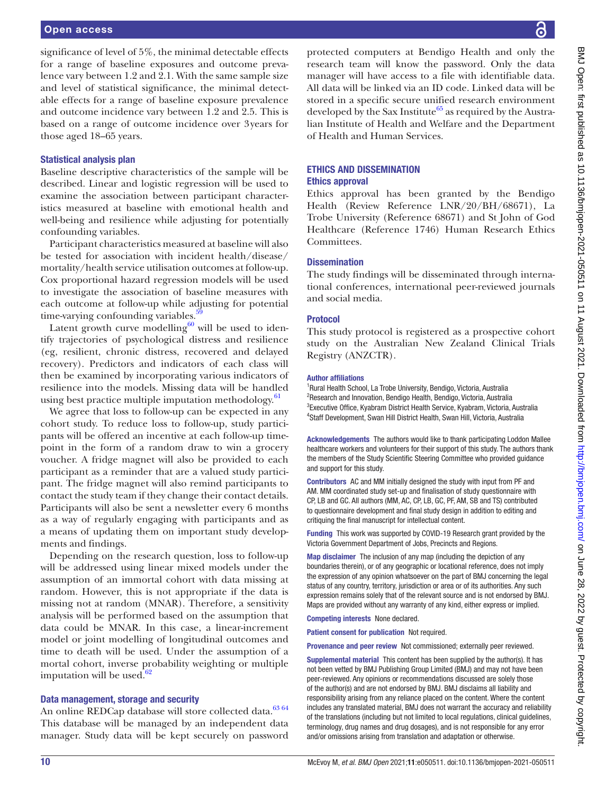significance of level of 5%, the minimal detectable effects for a range of baseline exposures and outcome prevalence vary between 1.2 and 2.1. With the same sample size and level of statistical significance, the minimal detectable effects for a range of baseline exposure prevalence and outcome incidence vary between 1.2 and 2.5. This is based on a range of outcome incidence over 3years for those aged 18–65 years.

#### Statistical analysis plan

Baseline descriptive characteristics of the sample will be described. Linear and logistic regression will be used to examine the association between participant characteristics measured at baseline with emotional health and well-being and resilience while adjusting for potentially confounding variables.

Participant characteristics measured at baseline will also be tested for association with incident health/disease/ mortality/health service utilisation outcomes at follow-up. Cox proportional hazard regression models will be used to investigate the association of baseline measures with each outcome at follow-up while adjusting for potential time-varying confounding variables.<sup>5</sup>

Latent growth curve modelling $60$  will be used to identify trajectories of psychological distress and resilience (eg, resilient, chronic distress, recovered and delayed recovery). Predictors and indicators of each class will then be examined by incorporating various indicators of resilience into the models. Missing data will be handled using best practice multiple imputation methodology. $61$ 

We agree that loss to follow-up can be expected in any cohort study. To reduce loss to follow-up, study participants will be offered an incentive at each follow-up timepoint in the form of a random draw to win a grocery voucher. A fridge magnet will also be provided to each participant as a reminder that are a valued study participant. The fridge magnet will also remind participants to contact the study team if they change their contact details. Participants will also be sent a newsletter every 6 months as a way of regularly engaging with participants and as a means of updating them on important study developments and findings.

Depending on the research question, loss to follow-up will be addressed using linear mixed models under the assumption of an immortal cohort with data missing at random. However, this is not appropriate if the data is missing not at random (MNAR). Therefore, a sensitivity analysis will be performed based on the assumption that data could be MNAR. In this case, a linear-increment model or joint modelling of longitudinal outcomes and time to death will be used. Under the assumption of a mortal cohort, inverse probability weighting or multiple imputation will be used. $62$ 

#### Data management, storage and security

An online REDCap database will store collected data.<sup>[63 64](#page-11-43)</sup> This database will be managed by an independent data manager. Study data will be kept securely on password

protected computers at Bendigo Health and only the research team will know the password. Only the data manager will have access to a file with identifiable data. All data will be linked via an ID code. Linked data will be stored in a specific secure unified research environment developed by the Sax Institute<sup>65</sup> as required by the Australian Institute of Health and Welfare and the Department of Health and Human Services.

#### ETHICS AND DISSEMINATION Ethics approval

Ethics approval has been granted by the Bendigo Health (Review Reference LNR/20/BH/68671), La Trobe University (Reference 68671) and St John of God Healthcare (Reference 1746) Human Research Ethics Committees.

#### **Dissemination**

The study findings will be disseminated through international conferences, international peer-reviewed journals and social media.

#### Protocol

This study protocol is registered as a prospective cohort study on the Australian New Zealand Clinical Trials Registry (ANZCTR).

#### Author affiliations

<sup>1</sup>Rural Health School, La Trobe University, Bendigo, Victoria, Australia <sup>2</sup>Research and Innovation, Bendigo Health, Bendigo, Victoria, Australia <sup>3</sup> Executive Office, Kyabram District Health Service, Kyabram, Victoria, Australia 4 Staff Development, Swan Hill District Health, Swan Hill, Victoria, Australia

Acknowledgements The authors would like to thank participating Loddon Mallee healthcare workers and volunteers for their support of this study. The authors thank the members of the Study Scientific Steering Committee who provided guidance and support for this study.

Contributors AC and MM initially designed the study with input from PF and AM. MM coordinated study set-up and finalisation of study questionnaire with CP, LB and GC. All authors (MM, AC, CP, LB, GC, PF, AM, SB and TS) contributed to questionnaire development and final study design in addition to editing and critiquing the final manuscript for intellectual content.

Funding This work was supported by COVID-19 Research grant provided by the Victoria Government Department of Jobs, Precincts and Regions.

Map disclaimer The inclusion of any map (including the depiction of any boundaries therein), or of any geographic or locational reference, does not imply the expression of any opinion whatsoever on the part of BMJ concerning the legal status of any country, territory, jurisdiction or area or of its authorities. Any such expression remains solely that of the relevant source and is not endorsed by BMJ. Maps are provided without any warranty of any kind, either express or implied.

Competing interests None declared.

Patient consent for publication Not required.

Provenance and peer review Not commissioned; externally peer reviewed.

Supplemental material This content has been supplied by the author(s). It has not been vetted by BMJ Publishing Group Limited (BMJ) and may not have been peer-reviewed. Any opinions or recommendations discussed are solely those of the author(s) and are not endorsed by BMJ. BMJ disclaims all liability and responsibility arising from any reliance placed on the content. Where the content includes any translated material, BMJ does not warrant the accuracy and reliability of the translations (including but not limited to local regulations, clinical guidelines, terminology, drug names and drug dosages), and is not responsible for any error and/or omissions arising from translation and adaptation or otherwise.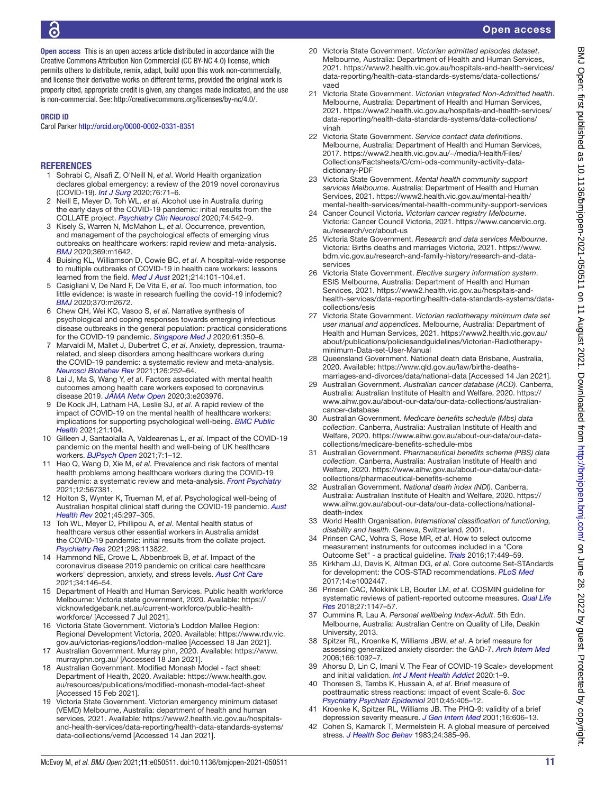Open access This is an open access article distributed in accordance with the Creative Commons Attribution Non Commercial (CC BY-NC 4.0) license, which permits others to distribute, remix, adapt, build upon this work non-commercially, and license their derivative works on different terms, provided the original work is properly cited, appropriate credit is given, any changes made indicated, and the use is non-commercial. See: <http://creativecommons.org/licenses/by-nc/4.0/>.

#### ORCID iD

Carol Parker <http://orcid.org/0000-0002-0331-8351>

#### REFERENCES

- <span id="page-10-0"></span>1 Sohrabi C, Alsafi Z, O'Neill N, *et al*. World Health organization declares global emergency: a review of the 2019 novel coronavirus (COVID-19). *[Int J Surg](http://dx.doi.org/10.1016/j.ijsu.2020.02.034)* 2020;76:71–6.
- <span id="page-10-1"></span>2 Neill E, Meyer D, Toh WL, *et al*. Alcohol use in Australia during the early days of the COVID-19 pandemic: initial results from the COLLATE project. *[Psychiatry Clin Neurosci](http://dx.doi.org/10.1111/pcn.13099)* 2020;74:542–9.
- <span id="page-10-2"></span>3 Kisely S, Warren N, McMahon L, *et al*. Occurrence, prevention, and management of the psychological effects of emerging virus outbreaks on healthcare workers: rapid review and meta-analysis. *[BMJ](http://dx.doi.org/10.1136/bmj.m1642)* 2020;369:m1642.
- <span id="page-10-3"></span>4 Buising KL, Williamson D, Cowie BC, *et al*. A hospital-wide response to multiple outbreaks of COVID-19 in health care workers: lessons learned from the field. *[Med J Aust](http://dx.doi.org/10.5694/mja2.50850)* 2021;214:101-104.e1.
- <span id="page-10-4"></span>5 Casigliani V, De Nard F, De Vita E, *et al*. Too much information, too little evidence: is waste in research fuelling the covid-19 infodemic? *[BMJ](http://dx.doi.org/10.1136/bmj.m2672)* 2020;370:m2672.
- <span id="page-10-5"></span>6 Chew QH, Wei KC, Vasoo S, *et al*. Narrative synthesis of psychological and coping responses towards emerging infectious disease outbreaks in the general population: practical considerations for the COVID-19 pandemic. *[Singapore Med J](http://dx.doi.org/10.11622/smedj.2020046)* 2020;61:350–6.
- 7 Marvaldi M, Mallet J, Dubertret C, *et al*. Anxiety, depression, traumarelated, and sleep disorders among healthcare workers during the COVID-19 pandemic: a systematic review and meta-analysis. *[Neurosci Biobehav Rev](http://dx.doi.org/10.1016/j.neubiorev.2021.03.024)* 2021;126:252–64.
- 8 Lai J, Ma S, Wang Y, *et al*. Factors associated with mental health outcomes among health care workers exposed to coronavirus disease 2019. *[JAMA Netw Open](http://dx.doi.org/10.1001/jamanetworkopen.2020.3976)* 2020;3:e203976.
- 9 De Kock JH, Latham HA, Leslie SJ, *et al*. A rapid review of the impact of COVID-19 on the mental health of healthcare workers: implications for supporting psychological well-being. *[BMC Public](http://dx.doi.org/10.1186/s12889-020-10070-3)  [Health](http://dx.doi.org/10.1186/s12889-020-10070-3)* 2021;21:104.
- 10 Gilleen J, Santaolalla A, Valdearenas L, *et al*. Impact of the COVID-19 pandemic on the mental health and well-being of UK healthcare workers. *[BJPsych Open](http://dx.doi.org/10.1192/bjo.2021.42)* 2021;7:1–12.
- 11 Hao Q, Wang D, Xie M, *et al*. Prevalence and risk factors of mental health problems among healthcare workers during the COVID-19 pandemic: a systematic review and meta-analysis. *[Front Psychiatry](http://dx.doi.org/10.3389/fpsyt.2021.567381)* 2021;12:567381.
- <span id="page-10-6"></span>12 Holton S, Wynter K, Trueman M, *et al*. Psychological well-being of Australian hospital clinical staff during the COVID-19 pandemic. *[Aust](http://dx.doi.org/10.1071/AH20203)  [Health Rev](http://dx.doi.org/10.1071/AH20203)* 2021;45:297–305.
- <span id="page-10-7"></span>13 Toh WL, Meyer D, Phillipou A, *et al*. Mental health status of healthcare versus other essential workers in Australia amidst the COVID-19 pandemic: initial results from the collate project. *[Psychiatry Res](http://dx.doi.org/10.1016/j.psychres.2021.113822)* 2021;298:113822.
- 14 Hammond NE, Crowe L, Abbenbroek B, *et al*. Impact of the coronavirus disease 2019 pandemic on critical care healthcare workers' depression, anxiety, and stress levels. *[Aust Crit Care](http://dx.doi.org/10.1016/j.aucc.2020.12.004)* 2021;34:146–54.
- <span id="page-10-8"></span>15 Department of Health and Human Services. Public health workforce Melbourne: Victoria state government, 2020. Available: [https://](https://vicknowledgebank.net.au/current-workforce/public-health-workforce/) [vicknowledgebank.net.au/current-workforce/public-health](https://vicknowledgebank.net.au/current-workforce/public-health-workforce/)[workforce/](https://vicknowledgebank.net.au/current-workforce/public-health-workforce/) [Accessed 7 Jul 2021].
- <span id="page-10-9"></span>16 Victoria State Government. Victoria's Loddon Mallee Region: Regional Development Victoria, 2020. Available: [https://www.rdv.vic.](https://www.rdv.vic.gov.au/victorias-regions/loddon-mallee) [gov.au/victorias-regions/loddon-mallee](https://www.rdv.vic.gov.au/victorias-regions/loddon-mallee) [Accessed 18 Jan 2021].
- <span id="page-10-10"></span>17 Australian Government. Murray phn, 2020. Available: [https://www.](https://www.murrayphn.org.au/) [murrayphn.org.au/](https://www.murrayphn.org.au/) [Accessed 18 Jan 2021].
- <span id="page-10-11"></span>18 Australian Government. Modified Monash Model - fact sheet: Department of Health, 2020. Available: [https://www.health.gov.](https://www.health.gov.au/resources/publications/modified-monash-model-fact-sheet) [au/resources/publications/modified-monash-model-fact-sheet](https://www.health.gov.au/resources/publications/modified-monash-model-fact-sheet)  [Accessed 15 Feb 2021].
- <span id="page-10-18"></span>19 Victoria State Government. Victorian emergency minimum dataset (VEMD) Melbourne, Australia: department of health and human services, 2021. Available: [https://www2.health.vic.gov.au/hospitals](https://www2.health.vic.gov.au/hospitals-and-health-services/data-reporting/health-data-standards-systems/data-collections/vemd)[and-health-services/data-reporting/health-data-standards-systems/](https://www2.health.vic.gov.au/hospitals-and-health-services/data-reporting/health-data-standards-systems/data-collections/vemd) [data-collections/vemd](https://www2.health.vic.gov.au/hospitals-and-health-services/data-reporting/health-data-standards-systems/data-collections/vemd) [Accessed 14 Jan 2021].
- <span id="page-10-19"></span>20 Victoria State Government. *Victorian admitted episodes dataset*. Melbourne, Australia: Department of Health and Human Services, 2021. [https://www2.health.vic.gov.au/hospitals-and-health-services/](https://www2.health.vic.gov.au/hospitals-and-health-services/data-reporting/health-data-standards-systems/data-collections/vaed) [data-reporting/health-data-standards-systems/data-collections/](https://www2.health.vic.gov.au/hospitals-and-health-services/data-reporting/health-data-standards-systems/data-collections/vaed) [vaed](https://www2.health.vic.gov.au/hospitals-and-health-services/data-reporting/health-data-standards-systems/data-collections/vaed)
- <span id="page-10-20"></span>21 Victoria State Government. *Victorian integrated Non-Admitted health*. Melbourne, Australia: Department of Health and Human Services, 2021. [https://www2.health.vic.gov.au/hospitals-and-health-services/](https://www2.health.vic.gov.au/hospitals-and-health-services/data-reporting/health-data-standards-systems/data-collections/vinah) [data-reporting/health-data-standards-systems/data-collections/](https://www2.health.vic.gov.au/hospitals-and-health-services/data-reporting/health-data-standards-systems/data-collections/vinah) [vinah](https://www2.health.vic.gov.au/hospitals-and-health-services/data-reporting/health-data-standards-systems/data-collections/vinah)
- <span id="page-10-21"></span>22 Victoria State Government. *Service contact data definitions*. Melbourne, Australia: Department of Health and Human Services, 2017. [https://www2.health.vic.gov.au/~/media/Health/Files/](https://www2.health.vic.gov.au/~/media/Health/Files/Collections/Factsheets/C/cmi-ods-community-activity-data-dictionary-PDF) [Collections/Factsheets/C/cmi-ods-community-activity-data](https://www2.health.vic.gov.au/~/media/Health/Files/Collections/Factsheets/C/cmi-ods-community-activity-data-dictionary-PDF)[dictionary-PDF](https://www2.health.vic.gov.au/~/media/Health/Files/Collections/Factsheets/C/cmi-ods-community-activity-data-dictionary-PDF)
- <span id="page-10-22"></span>23 Victoria State Government. *Mental health community support services Melbourne*. Australia: Department of Health and Human Services, 2021. [https://www2.health.vic.gov.au/mental-health/](https://www2.health.vic.gov.au/mental-health/mental-health-services/mental-health-community-support-services) [mental-health-services/mental-health-community-support-services](https://www2.health.vic.gov.au/mental-health/mental-health-services/mental-health-community-support-services)
- <span id="page-10-23"></span>24 Cancer Council Victoria. *Victorian cancer registry Melbourne*. Victoria: Cancer Council Victoria, 2021. [https://www.cancervic.org.](https://www.cancervic.org.au/research/vcr/about-us) [au/research/vcr/about-us](https://www.cancervic.org.au/research/vcr/about-us)
- <span id="page-10-24"></span>25 Victoria State Government. *Research and data services Melbourne*. Victoria: Births deaths and marriages Victoria, 2021. [https://www.](https://www.bdm.vic.gov.au/research-and-family-history/research-and-data-services) [bdm.vic.gov.au/research-and-family-history/research-and-data](https://www.bdm.vic.gov.au/research-and-family-history/research-and-data-services)[services](https://www.bdm.vic.gov.au/research-and-family-history/research-and-data-services)
- <span id="page-10-25"></span>26 Victoria State Government. *Elective surgery information system*. ESIS Melbourne, Australia: Department of Health and Human Services, 2021. [https://www2.health.vic.gov.au/hospitals-and](https://www2.health.vic.gov.au/hospitals-and-health-services/data-reporting/health-data-standards-systems/data-collections/esis)[health-services/data-reporting/health-data-standards-systems/data](https://www2.health.vic.gov.au/hospitals-and-health-services/data-reporting/health-data-standards-systems/data-collections/esis)[collections/esis](https://www2.health.vic.gov.au/hospitals-and-health-services/data-reporting/health-data-standards-systems/data-collections/esis)
- <span id="page-10-26"></span>27 Victoria State Government. *Victorian radiotherapy minimum data set user manual and appendices*. Melbourne, Australia: Department of Health and Human Services, 2021. [https://www2.health.vic.gov.au/](https://www2.health.vic.gov.au/about/publications/policiesandguidelines/Victorian-Radiotherapy-minimum-Data-set-User-Manual) [about/publications/policiesandguidelines/Victorian-Radiotherapy](https://www2.health.vic.gov.au/about/publications/policiesandguidelines/Victorian-Radiotherapy-minimum-Data-set-User-Manual)[minimum-Data-set-User-Manual](https://www2.health.vic.gov.au/about/publications/policiesandguidelines/Victorian-Radiotherapy-minimum-Data-set-User-Manual)
- <span id="page-10-27"></span>28 Queensland Government. National death data Brisbane, Australia, 2020. Available: [https://www.qld.gov.au/law/births-deaths](https://www.qld.gov.au/law/births-deaths-marriages-and-divorces/data/national-data)[marriages-and-divorces/data/national-data](https://www.qld.gov.au/law/births-deaths-marriages-and-divorces/data/national-data) [Accessed 14 Jan 2021].
- <span id="page-10-28"></span>29 Australian Government. *Australian cancer database (ACD)*. Canberra, Australia: Australian Institute of Health and Welfare, 2020. [https://](https://www.aihw.gov.au/about-our-data/our-data-collections/australian-cancer-database) [www.aihw.gov.au/about-our-data/our-data-collections/australian](https://www.aihw.gov.au/about-our-data/our-data-collections/australian-cancer-database)[cancer-database](https://www.aihw.gov.au/about-our-data/our-data-collections/australian-cancer-database)
- <span id="page-10-29"></span>30 Australian Government. *Medicare benefits schedule (Mbs) data collection*. Canberra, Australia: Australian Institute of Health and Welfare, 2020. [https://www.aihw.gov.au/about-our-data/our-data](https://www.aihw.gov.au/about-our-data/our-data-collections/medicare-benefits-schedule-mbs)[collections/medicare-benefits-schedule-mbs](https://www.aihw.gov.au/about-our-data/our-data-collections/medicare-benefits-schedule-mbs)
- <span id="page-10-30"></span>31 Australian Government. *Pharmaceutical benefits scheme (PBS) data collection*. Canberra, Australia: Australian Institute of Health and Welfare, 2020. [https://www.aihw.gov.au/about-our-data/our-data](https://www.aihw.gov.au/about-our-data/our-data-collections/pharmaceutical-benefits-scheme)[collections/pharmaceutical-benefits-scheme](https://www.aihw.gov.au/about-our-data/our-data-collections/pharmaceutical-benefits-scheme)
- <span id="page-10-31"></span>32 Australian Government. *National death index (NDI)*. Canberra, Australia: Australian Institute of Health and Welfare, 2020. [https://](https://www.aihw.gov.au/about-our-data/our-data-collections/national-death-index) [www.aihw.gov.au/about-our-data/our-data-collections/national](https://www.aihw.gov.au/about-our-data/our-data-collections/national-death-index)[death-index](https://www.aihw.gov.au/about-our-data/our-data-collections/national-death-index)
- <span id="page-10-32"></span>33 World Health Organisation. *International classification of functioning, disability and health*. Geneva, Switzerland, 2001.
- <span id="page-10-33"></span>34 Prinsen CAC, Vohra S, Rose MR, *et al*. How to select outcome measurement instruments for outcomes included in a "Core Outcome Set" - a practical guideline. *[Trials](http://dx.doi.org/10.1186/s13063-016-1555-2)* 2016;17:449–59.
- <span id="page-10-34"></span>35 Kirkham JJ, Davis K, Altman DG, *et al*. Core outcome Set-STAndards for development: the COS-STAD recommendations. *[PLoS Med](http://dx.doi.org/10.1371/journal.pmed.1002447)* 2017;14:e1002447.
- <span id="page-10-35"></span>36 Prinsen CAC, Mokkink LB, Bouter LM, *et al*. COSMIN guideline for systematic reviews of patient-reported outcome measures. *[Qual Life](http://dx.doi.org/10.1007/s11136-018-1798-3)  [Res](http://dx.doi.org/10.1007/s11136-018-1798-3)* 2018;27:1147–57.
- <span id="page-10-12"></span>37 Cummins R, Lau A. *Personal wellbeing Index-Adult*. 5th Edn. Melbourne, Australia: Australian Centre on Quality of Life, Deakin University, 2013.
- <span id="page-10-13"></span>38 Spitzer RL, Kroenke K, Williams JBW, *et al*. A brief measure for assessing generalized anxiety disorder: the GAD-7. *[Arch Intern Med](http://dx.doi.org/10.1001/archinte.166.10.1092)* 2006;166:1092–7.
- <span id="page-10-14"></span>39 Ahorsu D, Lin C, Imani V. The Fear of COVID-19 Scale> development and initial validation. *[Int J Ment Health Addict](http://dx.doi.org/10.1007/s11469-020-00270-8)* 2020:1–9.
- <span id="page-10-15"></span>40 Thoresen S, Tambs K, Hussain A, *et al*. Brief measure of posttraumatic stress reactions: impact of event Scale-6. *[Soc](http://dx.doi.org/10.1007/s00127-009-0073-x)  [Psychiatry Psychiatr Epidemiol](http://dx.doi.org/10.1007/s00127-009-0073-x)* 2010;45:405–12.
- <span id="page-10-16"></span>41 Kroenke K, Spitzer RL, Williams JB. The PHQ-9: validity of a brief depression severity measure. *[J Gen Intern Med](http://dx.doi.org/10.1046/j.1525-1497.2001.016009606.x)* 2001;16:606–13.
- <span id="page-10-17"></span>Cohen S, Kamarck T, Mermelstein R. A global measure of perceived stress. *[J Health Soc Behav](http://www.ncbi.nlm.nih.gov/pubmed/6668417)* 1983;24:385–96.

# Open access